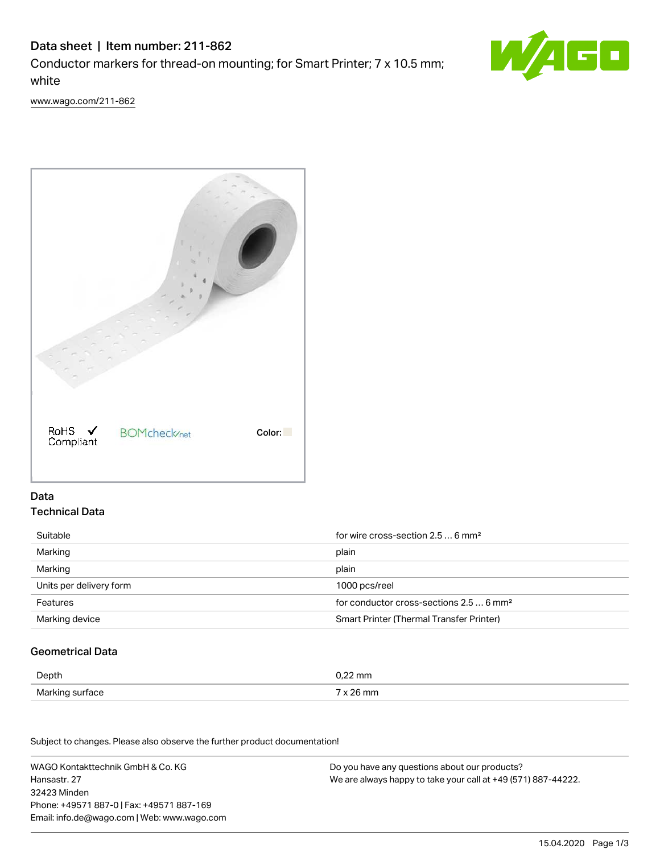# Data sheet | Item number: 211-862

Conductor markers for thread-on mounting; for Smart Printer; 7 x 10.5 mm; white



[www.wago.com/211-862](http://www.wago.com/211-862)



## Data Technical Data

| Suitable                | for wire cross-section $2.56$ mm <sup>2</sup>       |  |
|-------------------------|-----------------------------------------------------|--|
| Marking                 | plain                                               |  |
| Marking                 | plain                                               |  |
| Units per delivery form | 1000 pcs/reel                                       |  |
| Features                | for conductor cross-sections 2.5  6 mm <sup>2</sup> |  |
| Marking device          | Smart Printer (Thermal Transfer Printer)            |  |

## Geometrical Data

| Depth | 1.22 mm              |
|-------|----------------------|
| Mark  | ີ່ <sup>ລ</sup> 6 mm |
| .     |                      |

Subject to changes. Please also observe the further product documentation! Mechanical data

WAGO Kontakttechnik GmbH & Co. KG Hansastr. 27 32423 Minden Phone: +49571 887-0 | Fax: +49571 887-169 Email: info.de@wago.com | Web: www.wago.com Do you have any questions about our products? We are always happy to take your call at +49 (571) 887-44222.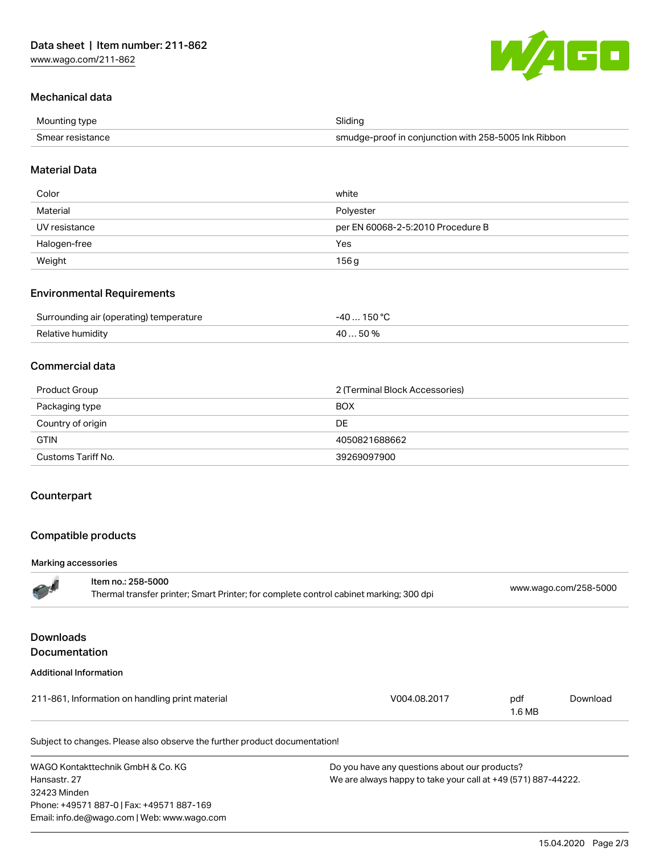

### Mechanical data

| Mounting type    | Slidina                                              |
|------------------|------------------------------------------------------|
| Smear resistance | smudge-proof in conjunction with 258-5005 Ink Ribbon |

#### Material Data

| Color         | white                             |
|---------------|-----------------------------------|
| Material      | Polyester                         |
| UV resistance | per EN 60068-2-5:2010 Procedure B |
| Halogen-free  | Yes                               |
| Weight        | 156 g                             |

#### Environmental Requirements

| Surrounding air (operating) temperature | .40 150°C |
|-----------------------------------------|-----------|
| Relative humidity                       | 40 50%    |

#### Commercial data

| Product Group      | 2 (Terminal Block Accessories) |
|--------------------|--------------------------------|
| Packaging type     | <b>BOX</b>                     |
| Country of origin  | DE.                            |
| <b>GTIN</b>        | 4050821688662                  |
| Customs Tariff No. | 39269097900                    |

#### **Counterpart**

#### Compatible products

#### Marking accessories

|                                          | Item no.: 258-5000<br>Thermal transfer printer; Smart Printer; for complete control cabinet marking; 300 dpi |              |               | www.wago.com/258-5000 |  |
|------------------------------------------|--------------------------------------------------------------------------------------------------------------|--------------|---------------|-----------------------|--|
| <b>Downloads</b><br><b>Documentation</b> |                                                                                                              |              |               |                       |  |
|                                          | <b>Additional Information</b>                                                                                |              |               |                       |  |
|                                          | 211-861, Information on handling print material                                                              | V004.08.2017 | pdf<br>1.6 MB | Download              |  |
|                                          | Subject to changes. Please also observe the further product documentation!                                   |              |               |                       |  |

WAGO Kontakttechnik GmbH & Co. KG Hansastr. 27 32423 Minden Phone: +49571 887-0 | Fax: +49571 887-169 Email: info.de@wago.com | Web: www.wago.com

Do you have any questions about our products? We are always happy to take your call at +49 (571) 887-44222.